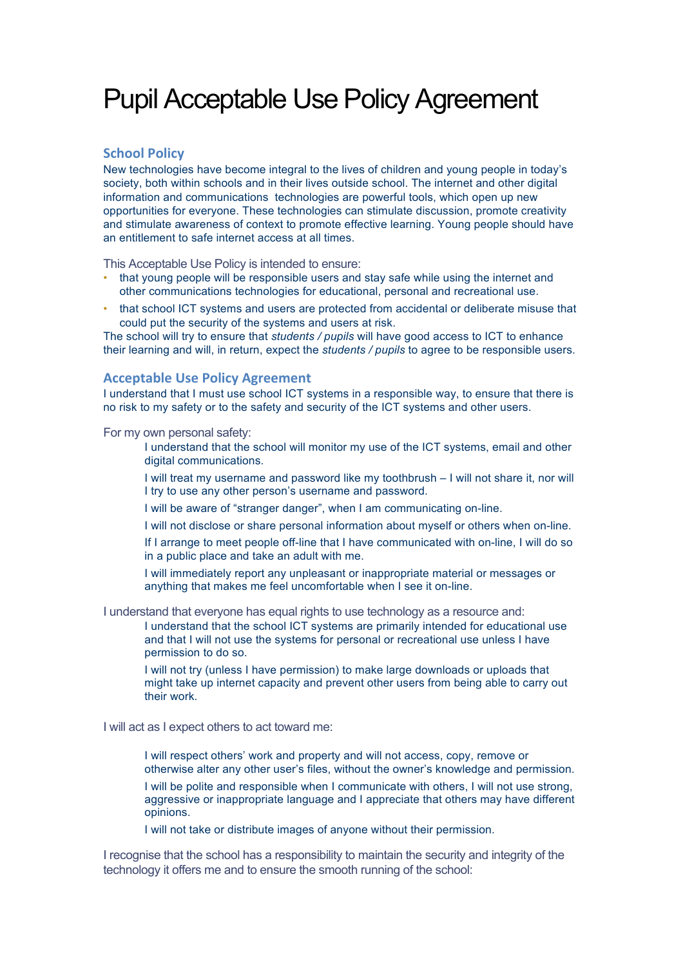## Pupil Acceptable Use Policy Agreement

## **School Policy**

New technologies have become integral to the lives of children and young people in today's society, both within schools and in their lives outside school. The internet and other digital information and communications technologies are powerful tools, which open up new opportunities for everyone. These technologies can stimulate discussion, promote creativity and stimulate awareness of context to promote effective learning. Young people should have an entitlement to safe internet access at all times.

This Acceptable Use Policy is intended to ensure:

- that young people will be responsible users and stay safe while using the internet and other communications technologies for educational, personal and recreational use.
- that school ICT systems and users are protected from accidental or deliberate misuse that could put the security of the systems and users at risk.

The school will try to ensure that *students / pupils* will have good access to ICT to enhance their learning and will, in return, expect the *students / pupils* to agree to be responsible users.

## **Acceptable Use Policy Agreement**

I understand that I must use school ICT systems in a responsible way, to ensure that there is no risk to my safety or to the safety and security of the ICT systems and other users.

For my own personal safety:

- I understand that the school will monitor my use of the ICT systems, email and other digital communications.
- I will treat my username and password like my toothbrush I will not share it, nor will I try to use any other person's username and password.
- I will be aware of "stranger danger", when I am communicating on-line.
- I will not disclose or share personal information about myself or others when on-line.
- If I arrange to meet people off-line that I have communicated with on-line, I will do so in a public place and take an adult with me.
- I will immediately report any unpleasant or inappropriate material or messages or anything that makes me feel uncomfortable when I see it on-line.

I understand that everyone has equal rights to use technology as a resource and:

 I understand that the school ICT systems are primarily intended for educational use and that I will not use the systems for personal or recreational use unless I have permission to do so.

 I will not try (unless I have permission) to make large downloads or uploads that might take up internet capacity and prevent other users from being able to carry out their work.

I will act as I expect others to act toward me:

- I will respect others' work and property and will not access, copy, remove or otherwise alter any other user's files, without the owner's knowledge and permission. I will be polite and responsible when I communicate with others, I will not use strong, aggressive or inappropriate language and I appreciate that others may have different opinions.
- I will not take or distribute images of anyone without their permission.

I recognise that the school has a responsibility to maintain the security and integrity of the technology it offers me and to ensure the smooth running of the school: